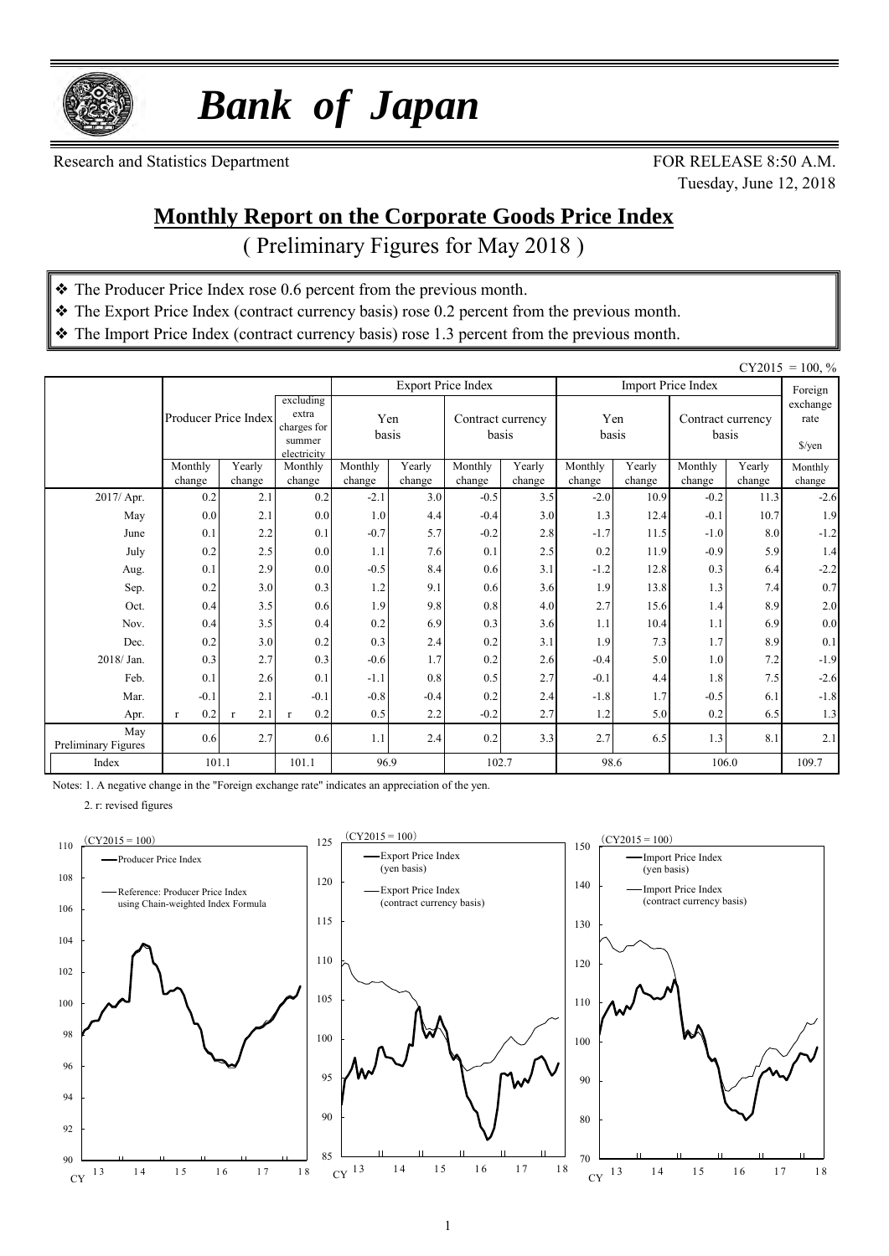

 *Bank of Japan*

Research and Statistics Department FOR RELEASE 8:50 A.M.

Tuesday, June 12, 2018

#### **Monthly Report on the Corporate Goods Price Index**

( Preliminary Figures for May 2018 )

- ❖ The Producer Price Index rose 0.6 percent from the previous month.
- ❖ The Export Price Index (contract currency basis) rose 0.2 percent from the previous month.
- ❖ The Import Price Index (contract currency basis) rose 1.3 percent from the previous month.

|                            |                      |                     |                                                            |                  |               |                            |               |                  |                |                            |                | $CY2015 = 100, \%$                       |
|----------------------------|----------------------|---------------------|------------------------------------------------------------|------------------|---------------|----------------------------|---------------|------------------|----------------|----------------------------|----------------|------------------------------------------|
|                            |                      |                     |                                                            |                  |               | <b>Export Price Index</b>  |               |                  |                | <b>Import Price Index</b>  |                | Foreign                                  |
|                            | Producer Price Index |                     | excluding<br>extra<br>charges for<br>summer<br>electricity | basis            | Yen           | Contract currency<br>basis |               | Yen<br>basis     |                | Contract currency<br>basis |                | exchange<br>rate<br>$\frac{\sqrt{2}}{2}$ |
|                            | Monthly              | Yearly              | Monthly                                                    | Monthly          | Yearly        | Monthly<br>change          | Yearly        | Monthly          | Yearly         | Monthly                    | Yearly         | Monthly                                  |
| 2017/ Apr.                 | change<br>0.2        | change<br>2.1       | change<br>0.2                                              | change<br>$-2.1$ | change<br>3.0 | $-0.5$                     | change<br>3.5 | change<br>$-2.0$ | change<br>10.9 | change<br>$-0.2$           | change<br>11.3 | change<br>$-2.6$                         |
| May                        | 0.0                  | 2.1                 | 0.0                                                        | 1.0              | 4.4           | $-0.4$                     | 3.0           | 1.3              | 12.4           | $-0.1$                     | 10.7           | 1.9                                      |
| June                       | 0.1                  | 2.2                 | 0.1                                                        | $-0.7$           | 5.7           | $-0.2$                     | 2.8           | $-1.7$           | 11.5           | $-1.0$                     | 8.0            | $-1.2$                                   |
| July                       | 0.2                  | 2.5                 | 0.0                                                        | 1.1              | 7.6           | 0.1                        | 2.5           | 0.2              | 11.9           | $-0.9$                     | 5.9            | 1.4                                      |
| Aug.                       | 0.1                  | 2.9                 | 0.0                                                        | $-0.5$           | 8.4           | 0.6                        | 3.1           | $-1.2$           | 12.8           | 0.3                        | 6.4            | $-2.2$                                   |
| Sep.                       | 0.2                  | 3.0                 | 0.3                                                        | 1.2              | 9.1           | 0.6                        | 3.6           | 1.9              | 13.8           | 1.3                        | 7.4            | 0.7                                      |
| Oct.                       | 0.4                  | 3.5                 | 0.6                                                        | 1.9              | 9.8           | 0.8                        | 4.0           | 2.7              | 15.6           | 1.4                        | 8.9            | $2.0\,$                                  |
| Nov.                       | 0.4                  | 3.5                 | 0.4                                                        | 0.2              | 6.9           | 0.3                        | 3.6           | 1.1              | 10.4           | 1.1                        | 6.9            | $0.0\,$                                  |
| Dec.                       | 0.2                  | 3.0                 | 0.2                                                        | 0.3              | 2.4           | 0.2                        | 3.1           | 1.9              | 7.3            | 1.7                        | 8.9            | 0.1                                      |
| 2018/Jan.                  | 0.3                  | 2.7                 | 0.3                                                        | $-0.6$           | 1.7           | 0.2                        | 2.6           | $-0.4$           | 5.0            | 1.0                        | 7.2            | $-1.9$                                   |
| Feb.                       | 0.1                  | 2.6                 | 0.1                                                        | $-1.1$           | 0.8           | 0.5                        | 2.7           | $-0.1$           | 4.4            | 1.8                        | 7.5            | $-2.6$                                   |
| Mar.                       | $-0.1$               | 2.1                 | $-0.1$                                                     | $-0.8$           | $-0.4$        | 0.2                        | 2.4           | $-1.8$           | 1.7            | $-0.5$                     | 6.1            | $-1.8$                                   |
| Apr.                       | 0.2<br>$\mathbf{r}$  | 2.1<br>$\mathbf{r}$ | 0.2<br>$\mathbf{r}$                                        | 0.5              | 2.2           | $-0.2$                     | 2.7           | 1.2              | 5.0            | 0.2                        | 6.5            | 1.3                                      |
| May<br>Preliminary Figures | 0.6                  | 2.7                 | 0.6                                                        | 1.1              | 2.4           | 0.2                        | 3.3           | 2.7              | 6.5            | 1.3                        | 8.1            | 2.1                                      |
| Index                      | 101.1                |                     | 101.1                                                      | 96.9             |               | 102.7                      |               | 98.6             |                | 106.0                      | 109.7          |                                          |

Notes: 1. A negative change in the "Foreign exchange rate" indicates an appreciation of the yen.

2. r: revised figures

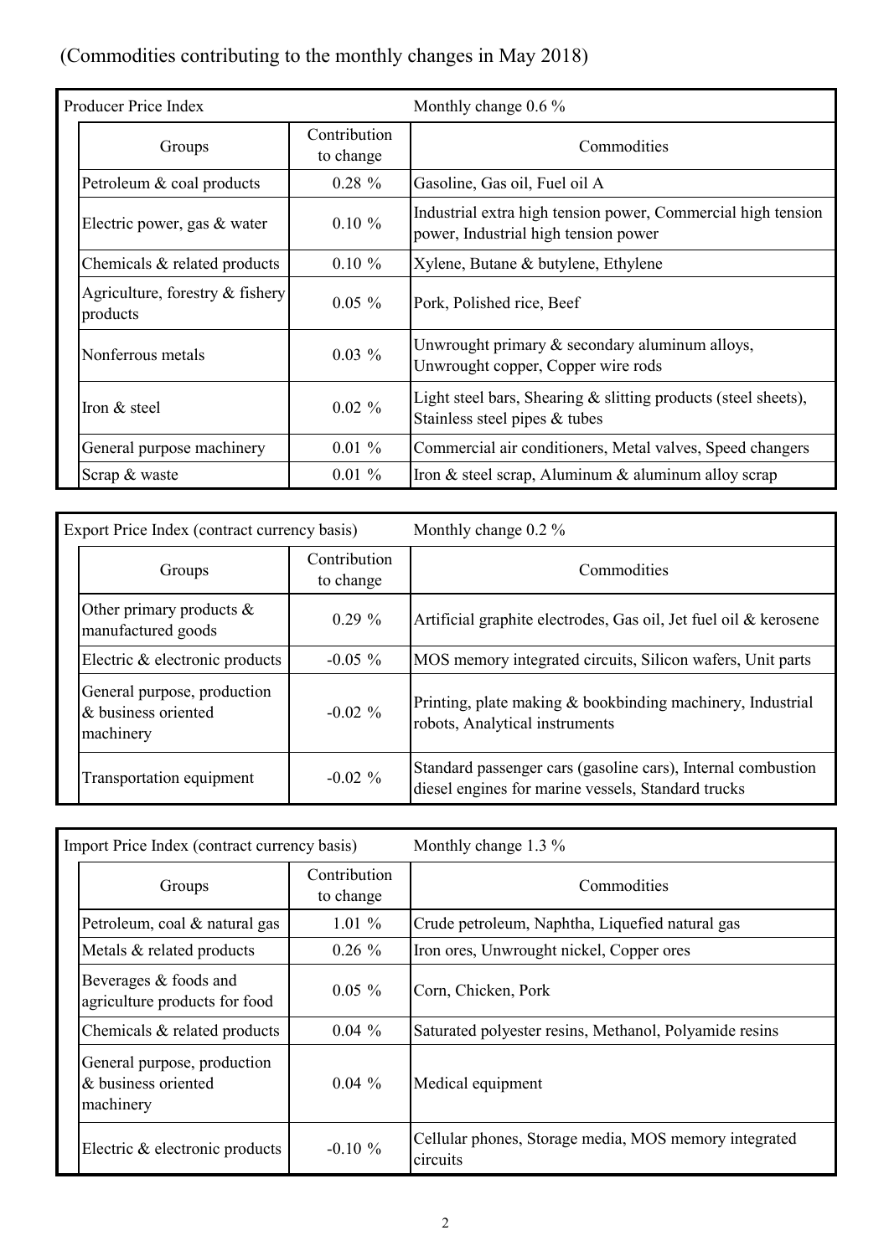## (Commodities contributing to the monthly changes in May 2018)

| Producer Price Index                           |                           | Monthly change $0.6\%$                                                                               |  |  |  |  |
|------------------------------------------------|---------------------------|------------------------------------------------------------------------------------------------------|--|--|--|--|
| Groups                                         | Contribution<br>to change | Commodities                                                                                          |  |  |  |  |
| Petroleum & coal products                      | $0.28 \%$                 | Gasoline, Gas oil, Fuel oil A                                                                        |  |  |  |  |
| Electric power, gas & water                    | $0.10 \%$                 | Industrial extra high tension power, Commercial high tension<br>power, Industrial high tension power |  |  |  |  |
| Chemicals & related products                   | $0.10 \%$                 | Xylene, Butane & butylene, Ethylene                                                                  |  |  |  |  |
| Agriculture, forestry $\&$ fishery<br>products | $0.05 \%$                 | Pork, Polished rice, Beef                                                                            |  |  |  |  |
| Nonferrous metals                              | $0.03\%$                  | Unwrought primary $&$ secondary aluminum alloys,<br>Unwrought copper, Copper wire rods               |  |  |  |  |
| Iron & steel                                   | $0.02 \%$                 | Light steel bars, Shearing $\&$ slitting products (steel sheets),<br>Stainless steel pipes & tubes   |  |  |  |  |
| General purpose machinery                      | $0.01 \%$                 | Commercial air conditioners, Metal valves, Speed changers                                            |  |  |  |  |
| Scrap & waste                                  | $0.01 \%$                 | Iron & steel scrap, Aluminum & aluminum alloy scrap                                                  |  |  |  |  |

| Export Price Index (contract currency basis)                    |                           | Monthly change $0.2\%$                                                                                             |
|-----------------------------------------------------------------|---------------------------|--------------------------------------------------------------------------------------------------------------------|
| Groups                                                          | Contribution<br>to change | Commodities                                                                                                        |
| Other primary products $\&$<br>manufactured goods               | $0.29 \%$                 | Artificial graphite electrodes, Gas oil, Jet fuel oil & kerosene                                                   |
| Electric & electronic products                                  | $-0.05\%$                 | MOS memory integrated circuits, Silicon wafers, Unit parts                                                         |
| General purpose, production<br>& business oriented<br>machinery | $-0.02\%$                 | Printing, plate making & bookbinding machinery, Industrial<br>robots, Analytical instruments                       |
| Transportation equipment                                        | $-0.02 \%$                | Standard passenger cars (gasoline cars), Internal combustion<br>diesel engines for marine vessels, Standard trucks |

| Import Price Index (contract currency basis)                    |                           | Monthly change $1.3\%$                                            |
|-----------------------------------------------------------------|---------------------------|-------------------------------------------------------------------|
| Groups                                                          | Contribution<br>to change | Commodities                                                       |
| Petroleum, coal & natural gas                                   | $1.01\%$                  | Crude petroleum, Naphtha, Liquefied natural gas                   |
| Metals & related products                                       | $0.26 \%$                 | Iron ores, Unwrought nickel, Copper ores                          |
| Beverages & foods and<br>agriculture products for food          | $0.05 \%$                 | Corn, Chicken, Pork                                               |
| Chemicals & related products                                    | $0.04\%$                  | Saturated polyester resins, Methanol, Polyamide resins            |
| General purpose, production<br>& business oriented<br>machinery | $0.04\%$                  | Medical equipment                                                 |
| Electric & electronic products                                  | $-0.10 \%$                | Cellular phones, Storage media, MOS memory integrated<br>circuits |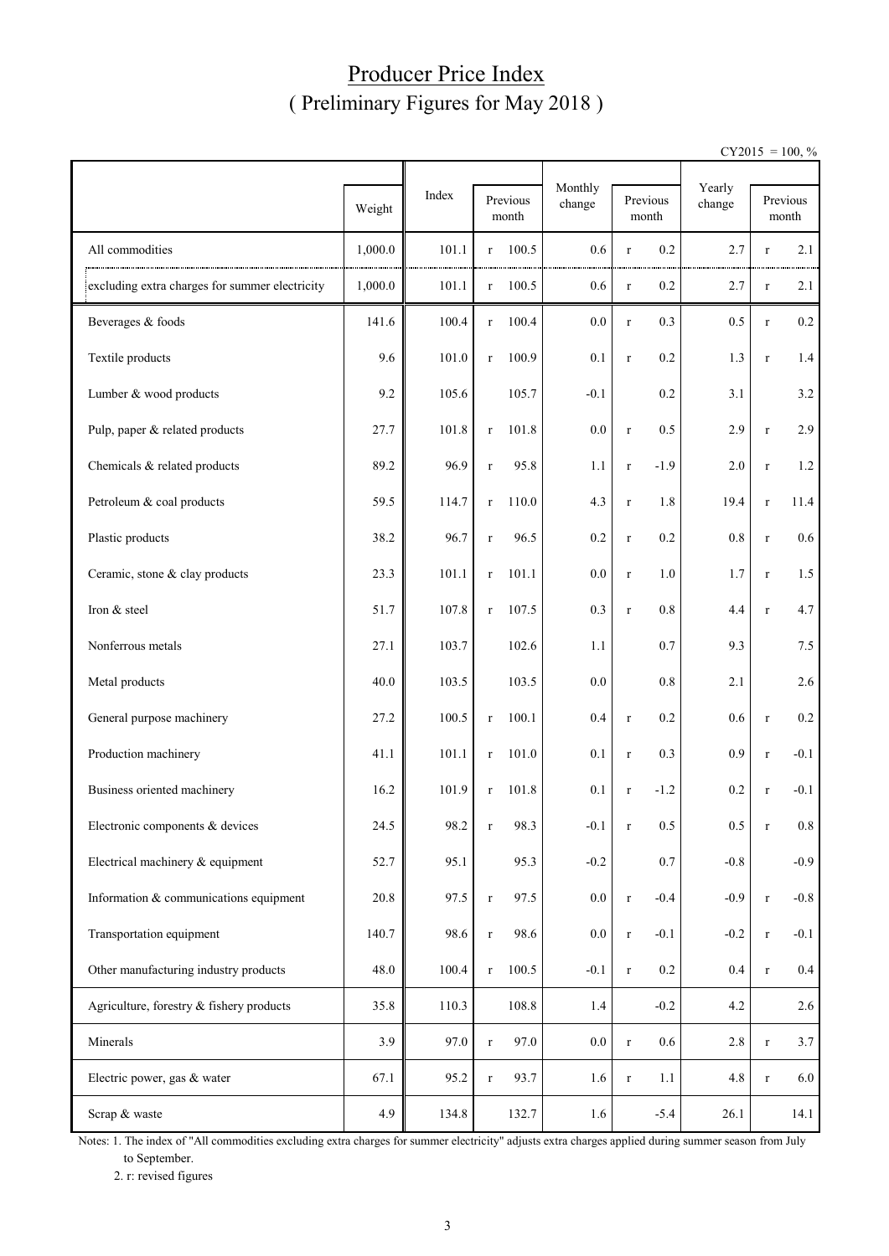#### Producer Price Index ( Preliminary Figures for May 2018 )

 $CY2015 = 100, \%$ 

|                                                |         |       |              |                   | Monthly |             |                   | Yearly  |             |                   |
|------------------------------------------------|---------|-------|--------------|-------------------|---------|-------------|-------------------|---------|-------------|-------------------|
|                                                | Weight  | Index |              | Previous<br>month | change  |             | Previous<br>month | change  |             | Previous<br>month |
| All commodities                                | 1,000.0 | 101.1 | $\mathbf r$  | 100.5             | 0.6     | $\mathbf r$ | 0.2               | 2.7     | $\mathbf r$ | 2.1               |
| excluding extra charges for summer electricity | 1,000.0 | 101.1 | $\mathbf r$  | 100.5             | 0.6     | $\mathbf r$ | 0.2               | 2.7     | $\mathbf r$ | 2.1               |
| Beverages & foods                              | 141.6   | 100.4 | $\Gamma$     | 100.4             | 0.0     | $\mathbf r$ | 0.3               | 0.5     | $\mathbf r$ | $0.2\,$           |
| Textile products                               | 9.6     | 101.0 | $\mathbf r$  | 100.9             | 0.1     | $\mathbf r$ | 0.2               | 1.3     | $\mathbf r$ | 1.4               |
| Lumber & wood products                         | 9.2     | 105.6 |              | 105.7             | $-0.1$  |             | 0.2               | 3.1     |             | 3.2               |
| Pulp, paper & related products                 | 27.7    | 101.8 | $\mathbf r$  | 101.8             | 0.0     | $\mathbf r$ | 0.5               | 2.9     | $\mathbf r$ | 2.9               |
| Chemicals & related products                   | 89.2    | 96.9  | $\mathbf r$  | 95.8              | 1.1     | $\mathbf r$ | $-1.9$            | 2.0     | $\mathbf r$ | 1.2               |
| Petroleum & coal products                      | 59.5    | 114.7 | $\mathbf r$  | 110.0             | 4.3     | $\mathbf r$ | 1.8               | 19.4    | $\mathbf r$ | 11.4              |
| Plastic products                               | 38.2    | 96.7  | $\mathbf r$  | 96.5              | 0.2     | $\mathbf r$ | 0.2               | $0.8\,$ | $\mathbf r$ | $0.6\,$           |
| Ceramic, stone & clay products                 | 23.3    | 101.1 | $\mathbf r$  | 101.1             | 0.0     | $\mathbf r$ | 1.0               | 1.7     | $\mathbf r$ | 1.5               |
| Iron & steel                                   | 51.7    | 107.8 | $\Gamma$     | 107.5             | 0.3     | $\mathbf r$ | 0.8               | 4.4     | $\mathbf r$ | 4.7               |
| Nonferrous metals                              | 27.1    | 103.7 |              | 102.6             | 1.1     |             | 0.7               | 9.3     |             | 7.5               |
| Metal products                                 | 40.0    | 103.5 |              | 103.5             | 0.0     |             | 0.8               | 2.1     |             | 2.6               |
| General purpose machinery                      | 27.2    | 100.5 | $\mathbf r$  | 100.1             | 0.4     | $\mathbf r$ | 0.2               | 0.6     | $\mathbf r$ | $0.2\,$           |
| Production machinery                           | 41.1    | 101.1 | $\mathbf r$  | 101.0             | 0.1     | $\mathbf r$ | 0.3               | 0.9     | $\mathbf r$ | $-0.1$            |
| Business oriented machinery                    | 16.2    | 101.9 | $\mathbf{r}$ | 101.8             | 0.1     | $\mathbf r$ | $-1.2$            | 0.2     | $\mathbf r$ | $-0.1$            |
| Electronic components & devices                | 24.5    | 98.2  |              | 98.3              | $-0.1$  | r           | 0.5               | 0.5     | r           | 0.8               |
| Electrical machinery & equipment               | 52.7    | 95.1  |              | 95.3              | $-0.2$  |             | 0.7               | $-0.8$  |             | $-0.9$            |
| Information & communications equipment         | 20.8    | 97.5  | $\mathbf r$  | 97.5              | 0.0     | $\mathbf r$ | $-0.4$            | $-0.9$  | $\mathbf r$ | $-0.8$            |
| Transportation equipment                       | 140.7   | 98.6  | $\mathbf r$  | 98.6              | $0.0\,$ | $\mathbf r$ | $-0.1$            | $-0.2$  | $\mathbf r$ | $-0.1$            |
| Other manufacturing industry products          | 48.0    | 100.4 | $\mathbf r$  | 100.5             | $-0.1$  | $\mathbf r$ | 0.2               | 0.4     | $\mathbf r$ | $0.4\,$           |
| Agriculture, forestry & fishery products       | 35.8    | 110.3 |              | 108.8             | $1.4\,$ |             | $-0.2$            | 4.2     |             | 2.6               |
| Minerals                                       | 3.9     | 97.0  | $\mathbf r$  | 97.0              | $0.0\,$ | $\mathbf r$ | $0.6\,$           | $2.8\,$ | $\mathbf r$ | 3.7               |
| Electric power, gas & water                    | 67.1    | 95.2  | $\mathbf r$  | 93.7              | 1.6     | $\mathbf r$ | 1.1               | 4.8     | $\mathbf r$ | 6.0               |
| Scrap & waste                                  | 4.9     | 134.8 |              | 132.7             | 1.6     |             | $-5.4$            | 26.1    |             | 14.1              |

Notes: 1. The index of "All commodities excluding extra charges for summer electricity" adjusts extra charges applied during summer season from July to September.

2. r: revised figures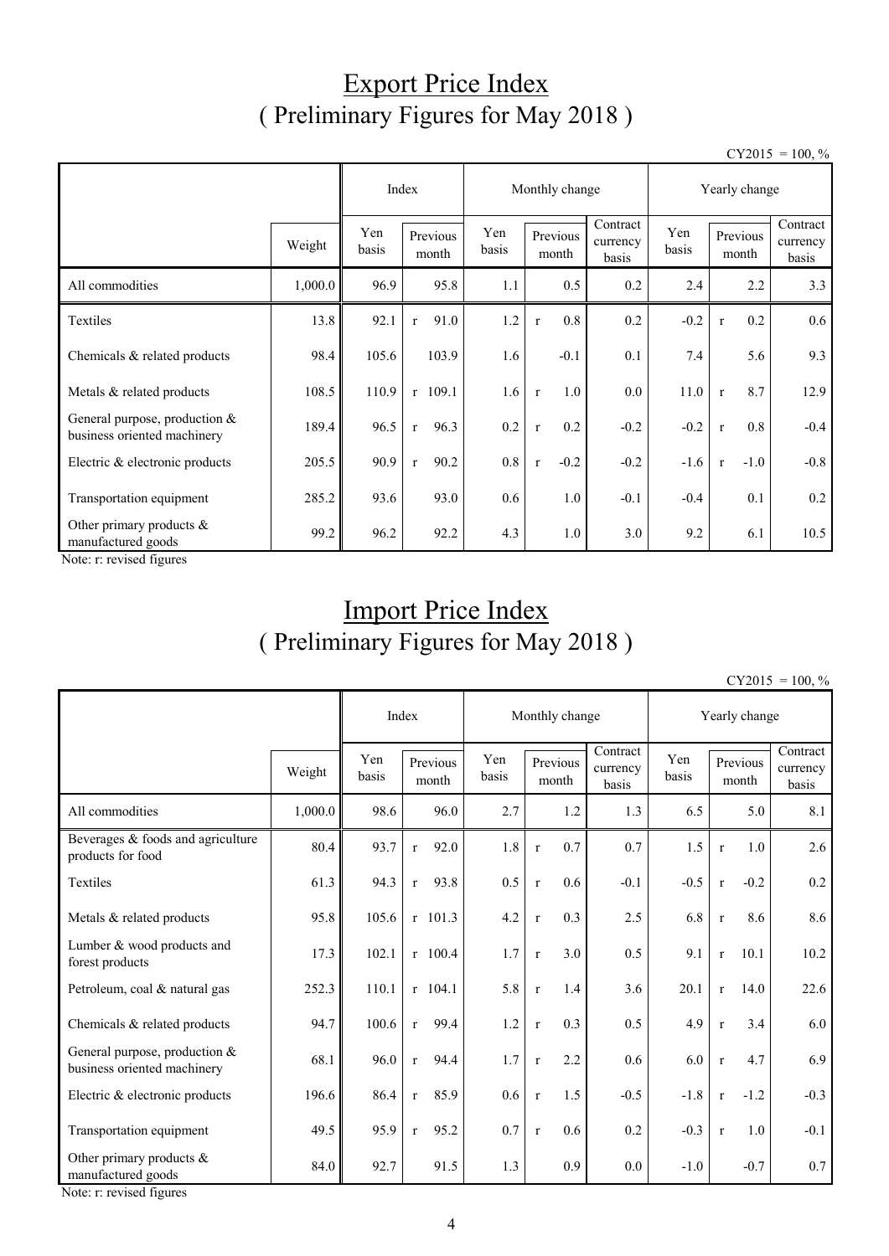## Export Price Index ( Preliminary Figures for May 2018 )

 $CY2015 = 100, \%$ 

|                                                                |         |              | Index                             |         | Monthly change         |                               | Yearly change |                        |                               |  |
|----------------------------------------------------------------|---------|--------------|-----------------------------------|---------|------------------------|-------------------------------|---------------|------------------------|-------------------------------|--|
|                                                                | Weight  | Yen<br>basis | Yen<br>Previous<br>basis<br>month |         | Previous<br>month      | Contract<br>currency<br>basis | Yen<br>basis  | Previous<br>month      | Contract<br>currency<br>basis |  |
| All commodities                                                | 1,000.0 | 96.9         | 95.8                              | 1.1     | 0.5                    | 0.2                           | 2.4           | 2.2                    | 3.3                           |  |
| Textiles                                                       | 13.8    | 92.1         | 91.0<br>$\mathbf{r}$              | 1.2     | 0.8<br>$\mathbf{r}$    | 0.2                           | $-0.2$        | 0.2<br>$\mathbf{r}$    | 0.6                           |  |
| Chemicals & related products                                   | 98.4    | 105.6        | 103.9                             | 1.6     | $-0.1$                 | 0.1                           | 7.4           | 5.6                    | 9.3                           |  |
| Metals & related products                                      | 108.5   | 110.9        | $r$ 109.1                         | 1.6     | 1.0<br>$\mathbf{r}$    | $0.0\,$                       | 11.0          | 8.7<br>$\mathbf{r}$    | 12.9                          |  |
| General purpose, production $&$<br>business oriented machinery | 189.4   | 96.5         | 96.3<br>$\mathbf{r}$              | 0.2     | 0.2<br>$\mathbf{r}$    | $-0.2$                        | $-0.2$        | 0.8<br>$\mathbf{r}$    | $-0.4$                        |  |
| Electric & electronic products                                 | 205.5   | 90.9         | 90.2<br>$\mathbf{r}$              | $0.8\,$ | $-0.2$<br>$\mathbf{r}$ | $-0.2$                        | $-1.6$        | $-1.0$<br>$\mathbf{r}$ | $-0.8$                        |  |
| Transportation equipment                                       | 285.2   | 93.6         | 93.0                              | 0.6     | 1.0                    | $-0.1$                        | $-0.4$        | 0.1                    | 0.2                           |  |
| Other primary products $\&$<br>manufactured goods              | 99.2    | 96.2         | 92.2                              | 4.3     | 1.0                    | 3.0                           | 9.2           | 6.1                    | 10.5                          |  |

Note: r: revised figures

# Import Price Index ( Preliminary Figures for May 2018 )

| $CY2015 = 100, \%$ |  |
|--------------------|--|
|                    |  |

|                                                                |         |              | Index                |              | Monthly change      |                               | Yearly change |              |                   |                               |
|----------------------------------------------------------------|---------|--------------|----------------------|--------------|---------------------|-------------------------------|---------------|--------------|-------------------|-------------------------------|
|                                                                | Weight  | Yen<br>basis | Previous<br>month    | Yen<br>basis | Previous<br>month   | Contract<br>currency<br>basis | Yen<br>basis  |              | Previous<br>month | Contract<br>currency<br>basis |
| All commodities                                                | 1,000.0 | 98.6         | 96.0                 | 2.7          | 1.2                 | 1.3                           | 6.5           |              | 5.0               | 8.1                           |
| Beverages & foods and agriculture<br>products for food         | 80.4    | 93.7         | 92.0<br>$\mathbf{r}$ | 1.8          | 0.7<br>$\mathbf r$  | 0.7                           | 1.5           | $\mathbf{r}$ | 1.0               | 2.6                           |
| Textiles                                                       | 61.3    | 94.3         | 93.8<br>$\mathbf{r}$ | 0.5          | 0.6<br>$\mathbf{r}$ | $-0.1$                        | $-0.5$        | $\mathbf{r}$ | $-0.2$            | 0.2                           |
| Metals & related products                                      | 95.8    | 105.6        | $r$ 101.3            | 4.2          | 0.3<br>$\mathbf{r}$ | 2.5                           | 6.8           | $\mathbf{r}$ | 8.6               | 8.6                           |
| Lumber & wood products and<br>forest products                  | 17.3    | 102.1        | $r$ 100.4            | 1.7          | 3.0<br>$\mathbf{r}$ | 0.5                           | 9.1           | $\mathbf{r}$ | 10.1              | 10.2                          |
| Petroleum, coal & natural gas                                  | 252.3   | 110.1        | $r$ 104.1            | 5.8          | 1.4<br>$\mathbf{r}$ | 3.6                           | 20.1          | $\mathbf{r}$ | 14.0              | 22.6                          |
| Chemicals & related products                                   | 94.7    | 100.6        | 99.4<br>$\mathbf{r}$ | 1.2          | 0.3<br>$\mathbf{r}$ | 0.5                           | 4.9           | $\mathbf r$  | 3.4               | 6.0                           |
| General purpose, production $&$<br>business oriented machinery | 68.1    | 96.0         | 94.4<br>$\mathbf{r}$ | 1.7          | 2.2<br>$\mathbf{r}$ | 0.6                           | 6.0           | $\mathbf r$  | 4.7               | 6.9                           |
| Electric & electronic products                                 | 196.6   | 86.4         | 85.9<br>$\mathbf{r}$ | 0.6          | 1.5<br>$\mathbf{r}$ | $-0.5$                        | $-1.8$        | $\mathbf{r}$ | $-1.2$            | $-0.3$                        |
| Transportation equipment                                       | 49.5    | 95.9         | 95.2<br>$\mathbf{r}$ | 0.7          | 0.6<br>$\mathbf{r}$ | 0.2                           | $-0.3$        | $\mathbf{r}$ | 1.0               | $-0.1$                        |
| Other primary products &<br>manufactured goods                 | 84.0    | 92.7         | 91.5                 | 1.3          | 0.9                 | 0.0                           | $-1.0$        |              | $-0.7$            | 0.7                           |

Note: r: revised figures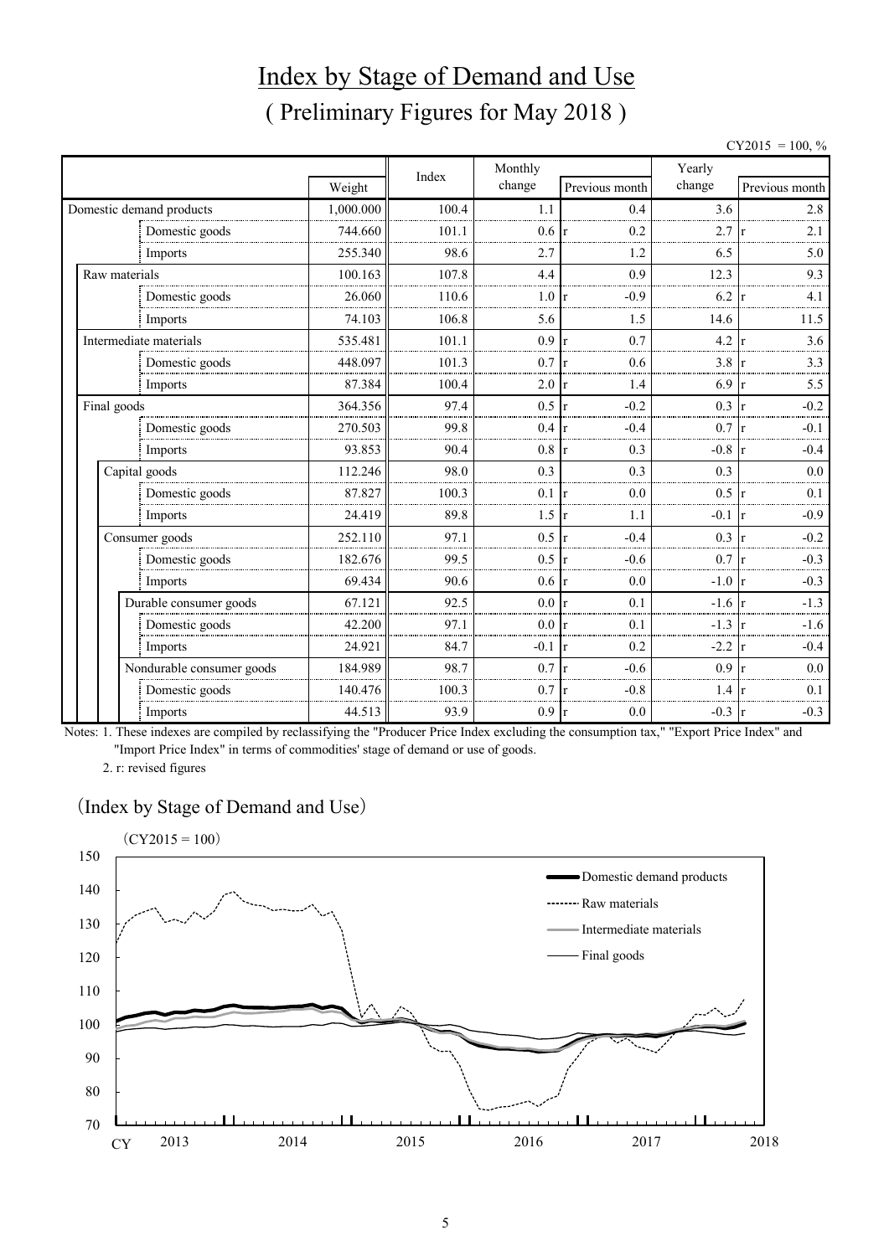# Index by Stage of Demand and Use ( Preliminary Figures for May 2018 )

 $CY2015 = 100, \%$ 

|               |                           |           | Index | Monthly         |                          | Yearly |                                  |  |  |
|---------------|---------------------------|-----------|-------|-----------------|--------------------------|--------|----------------------------------|--|--|
|               |                           | Weight    |       | change          | Previous month           | change | Previous month                   |  |  |
|               | Domestic demand products  | 1,000.000 | 100.4 | 1.1             | 0.4                      | 3.6    | 2.8                              |  |  |
|               | Domestic goods            | 744.660   | 101.1 | 0.6             | 0.2<br>r                 | 2.7    | 2.1                              |  |  |
|               | Imports                   | 255.340   | 98.6  | 2.7             | 1.2                      | 6.5    | 5.0                              |  |  |
| Raw materials |                           | 100.163   | 107.8 | 4.4             | 0.9                      | 12.3   | 9.3                              |  |  |
|               | Domestic goods            | 26.060    | 110.6 | 1.0             | $-0.9$<br>r              | 6.2    | 4.1                              |  |  |
|               | Imports                   | 74.103    | 106.8 | 5.6             | 1.5                      | 14.6   | 11.5                             |  |  |
|               | Intermediate materials    | 535.481   | 101.1 | 0.9             | 0.7<br>$\mathbf{r}$      | 4.2    | 3.6                              |  |  |
|               | Domestic goods            | 448.097   | 101.3 | 0.7             | 0.6<br>r                 | 3.8    | 3.3                              |  |  |
|               | Imports                   | 87.384    | 100.4 | 2.0             | 1.4<br>$\mathbf{r}$      | 6.9    | 5.5                              |  |  |
| Final goods   |                           | 364.356   | 97.4  | 0.5             | $-0.2$<br>$\mathbf{r}$   | 0.3    | $-0.2$                           |  |  |
|               | Domestic goods            | 270.503   | 99.8  | 0.4             | $-0.4$<br>$\mathsf{I}$ r | 0.7    | $-0.1$                           |  |  |
|               | Imports                   | 93.853    | 90.4  | 0.8             | 0.3<br>Ir                | $-0.8$ | $-0.4$                           |  |  |
|               | Capital goods             | 112.246   | 98.0  | 0.3             | 0.3                      | 0.3    | 0.0                              |  |  |
|               | Domestic goods            | 87.827    | 100.3 | 0.1             | 0.0<br>$\mathbf{r}$      | 0.5    | 0.1                              |  |  |
|               | Imports                   | 24.419    | 89.8  | 1.5             | 1.1<br>$\mathbf{r}$      | $-0.1$ | $-0.9$<br>١r                     |  |  |
|               | Consumer goods            | 252.110   | 97.1  | 0.5             | $-0.4$<br>$\mathbf{r}$   | 0.3    | $-0.2$                           |  |  |
|               | Domestic goods            | 182.676   | 99.5  | 0.5             | $-0.6$<br>r              | 0.7    | $-0.3$                           |  |  |
|               | Imports                   | 69.434    | 90.6  | $0.6 \text{ r}$ | 0.0                      | $-1.0$ | $-0.3$<br>$\mathsf{I}\mathbf{r}$ |  |  |
|               | Durable consumer goods    | 67.121    | 92.5  | $0.0\degree$    | 0.1<br>$\mathbf{r}$      | $-1.6$ | $-1.3$                           |  |  |
|               | Domestic goods            | 42.200    | 97.1  | 0.0 r           | 0.1                      | $-1.3$ | $-1.6$                           |  |  |
|               | Imports                   | 24.921    | 84.7  | $-0.1$          | 0.2<br>Ir.               | $-2.2$ | $-0.4$                           |  |  |
|               | Nondurable consumer goods | 184.989   | 98.7  | 0.7             | $-0.6$<br>$\mathbf{r}$   | 0.9    | 0.0                              |  |  |
|               | Domestic goods            | 140.476   | 100.3 | 0.7             | $-0.8$                   | 1.4    | 0.1                              |  |  |
|               | Imports                   | 44.513    | 93.9  | 0.9             | 0.0<br>$\mathbf r$       | $-0.3$ | $-0.3$<br><sup>r</sup>           |  |  |

Notes: 1. These indexes are compiled by reclassifying the "Producer Price Index excluding the consumption tax," "Export Price Index" and "Import Price Index" in terms of commodities' stage of demand or use of goods.

2. r: revised figures

#### (Index by Stage of Demand and Use)

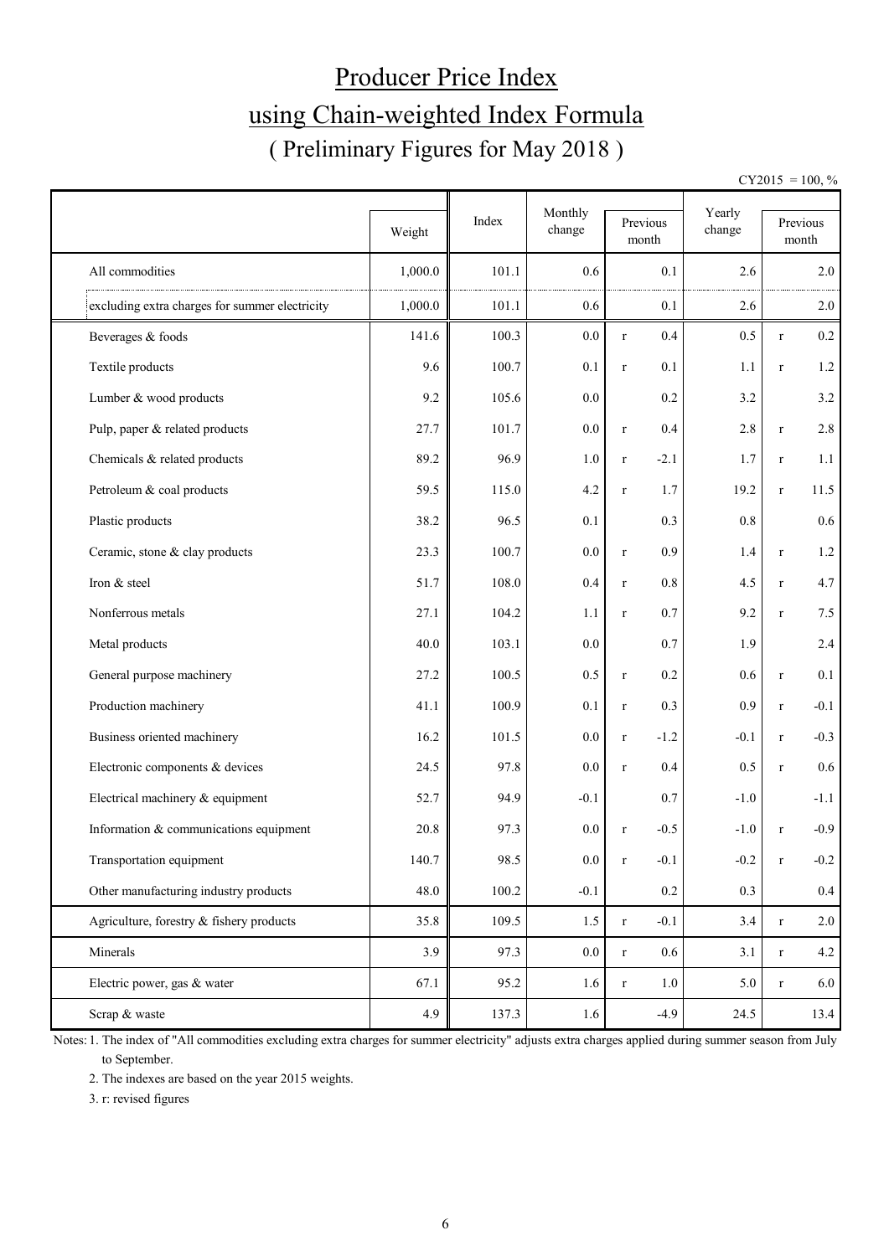# Producer Price Index using Chain-weighted Index Formula ( Preliminary Figures for May 2018 )

 $CY2015 = 100, \%$ 

|                                                | Weight  | Index | Monthly<br>change | Previous<br>month      | Yearly<br>change |              | Previous<br>month |
|------------------------------------------------|---------|-------|-------------------|------------------------|------------------|--------------|-------------------|
| All commodities                                | 1,000.0 | 101.1 | 0.6               | 0.1                    | 2.6              |              | 2.0               |
| excluding extra charges for summer electricity | 1,000.0 | 101.1 | 0.6               | 0.1                    | 2.6              |              | 2.0               |
| Beverages & foods                              | 141.6   | 100.3 | 0.0               | 0.4<br>$\mathbf r$     | 0.5              | $\mathbf{r}$ | 0.2               |
| Textile products                               | 9.6     | 100.7 | 0.1               | 0.1<br>$\mathbf r$     | 1.1              | $\mathbf r$  | 1.2               |
| Lumber & wood products                         | 9.2     | 105.6 | 0.0               | 0.2                    | 3.2              |              | 3.2               |
| Pulp, paper & related products                 | 27.7    | 101.7 | 0.0               | 0.4<br>$\mathbf r$     | 2.8              | $\mathbf r$  | 2.8               |
| Chemicals & related products                   | 89.2    | 96.9  | 1.0               | $-2.1$<br>$\mathbf r$  | 1.7              | $\mathbf r$  | 1.1               |
| Petroleum & coal products                      | 59.5    | 115.0 | 4.2               | 1.7<br>$\mathbf r$     | 19.2             | $\mathbf r$  | 11.5              |
| Plastic products                               | 38.2    | 96.5  | 0.1               | 0.3                    | 0.8              |              | 0.6               |
| Ceramic, stone & clay products                 | 23.3    | 100.7 | 0.0               | 0.9<br>$\mathbf r$     | 1.4              | $\mathbf r$  | $1.2\,$           |
| Iron & steel                                   | 51.7    | 108.0 | 0.4               | 0.8<br>$\mathbf r$     | 4.5              | $\mathbf r$  | 4.7               |
| Nonferrous metals                              | 27.1    | 104.2 | 1.1               | 0.7<br>$\mathbf r$     | 9.2              | $\mathbf r$  | 7.5               |
| Metal products                                 | 40.0    | 103.1 | 0.0               | 0.7                    | 1.9              |              | 2.4               |
| General purpose machinery                      | 27.2    | 100.5 | 0.5               | 0.2<br>$\mathbf r$     | 0.6              | $\mathbf r$  | 0.1               |
| Production machinery                           | 41.1    | 100.9 | 0.1               | 0.3<br>$\mathbf r$     | 0.9              | $\mathbf r$  | $-0.1$            |
| Business oriented machinery                    | 16.2    | 101.5 | 0.0               | $-1.2$<br>$\mathbf r$  | $-0.1$           | $\mathbf r$  | $-0.3$            |
| Electronic components & devices                | 24.5    | 97.8  | 0.0               | 0.4<br>$\mathbf r$     | 0.5              | $\mathbf{r}$ | $0.6\,$           |
| Electrical machinery & equipment               | 52.7    | 94.9  | $-0.1$            | 0.7                    | $-1.0$           |              | $-1.1$            |
| Information & communications equipment         | 20.8    | 97.3  | 0.0               | $-0.5$<br>$\mathbf r$  | $-1.0$           | $\mathbf{r}$ | $-0.9$            |
| Transportation equipment                       | 140.7   | 98.5  | $0.0\,$           | $\mathbf r$<br>$-0.1$  | $-0.2$           | $\mathbf r$  | $-0.2$            |
| Other manufacturing industry products          | 48.0    | 100.2 | $-0.1$            | 0.2                    | 0.3              |              | $0.4\,$           |
| Agriculture, forestry & fishery products       | 35.8    | 109.5 | 1.5               | $-0.1$<br>$\mathbf r$  | 3.4              | $\mathbf r$  | 2.0               |
| Minerals                                       | 3.9     | 97.3  | $0.0\,$           | $0.6\,$<br>$\mathbf r$ | 3.1              | $\mathbf r$  | 4.2               |
| Electric power, gas & water                    | 67.1    | 95.2  | 1.6               | 1.0<br>$\mathbf r$     | 5.0              | $\mathbf r$  | 6.0               |
| Scrap & waste                                  | 4.9     | 137.3 | 1.6               | $-4.9$                 | 24.5             |              | 13.4              |

Notes: 1. The index of "All commodities excluding extra charges for summer electricity" adjusts extra charges applied during summer season from July to September.

2. The indexes are based on the year 2015 weights.

3. r: revised figures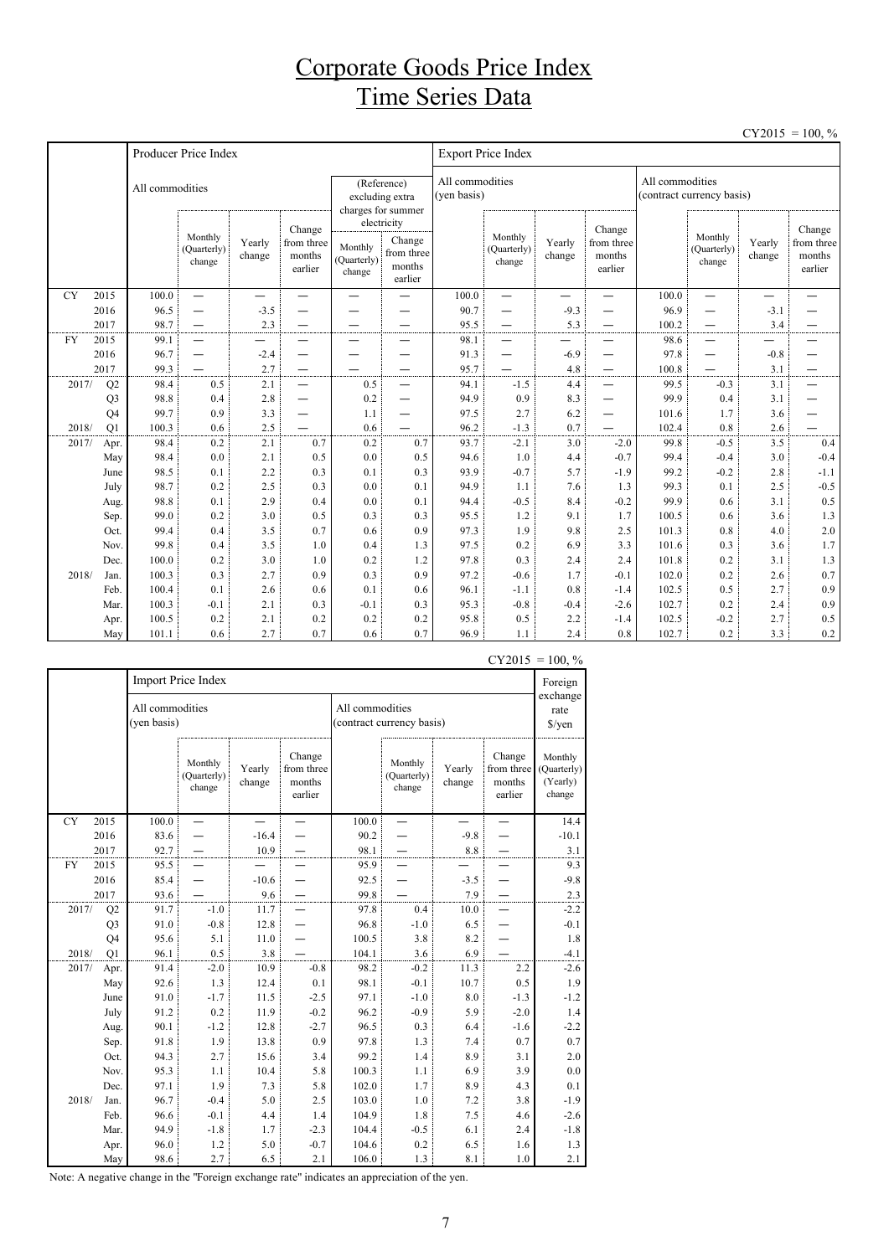### Corporate Goods Price Index Time Series Data

|           |                |                 |                                  |                  |                                           |                                  |                                                          |                                |                                    |                  |                                           |                                              |                                    |                          | $CY2015 = 100, \%$                        |  |
|-----------|----------------|-----------------|----------------------------------|------------------|-------------------------------------------|----------------------------------|----------------------------------------------------------|--------------------------------|------------------------------------|------------------|-------------------------------------------|----------------------------------------------|------------------------------------|--------------------------|-------------------------------------------|--|
|           |                |                 | Producer Price Index             |                  |                                           |                                  |                                                          | <b>Export Price Index</b>      |                                    |                  |                                           |                                              |                                    |                          |                                           |  |
|           |                | All commodities |                                  |                  |                                           |                                  | (Reference)<br>excluding extra<br>charges for summer     | All commodities<br>(yen basis) |                                    |                  |                                           | All commodities<br>(contract currency basis) |                                    |                          |                                           |  |
|           |                |                 | Monthly<br>(Quarterly)<br>change | Yearly<br>change | Change<br>from three<br>months<br>earlier | Monthly<br>(Quarterly)<br>change | electricity<br>Change<br>from three<br>months<br>earlier |                                | Monthly<br>(Quarterly)<br>change   | Yearly<br>change | Change<br>from three<br>months<br>earlier |                                              | Monthly<br>(Quarterly)<br>change   | Yearly<br>change         | Change<br>from three<br>months<br>earlier |  |
| <b>CY</b> | 2015           | 100.0           | $\qquad \qquad$                  | —                | —<br>—                                    | —<br>—                           |                                                          | 100.0                          | —                                  | —                | —<br>—                                    | 100.0                                        | $\overline{\phantom{0}}$           | $\overline{\phantom{0}}$ |                                           |  |
|           | 2016           | 96.5            |                                  | $-3.5$           |                                           |                                  |                                                          | 90.7                           | —                                  | $-9.3$           |                                           | 96.9                                         | —                                  | $-3.1$                   |                                           |  |
|           | 2017           | 98.7            |                                  | 2.3              | $\qquad \qquad \longleftarrow$            | —                                | —                                                        | 95.5                           |                                    | 5.3              | $\qquad \qquad -$                         | 100.2                                        | $\overline{\phantom{0}}$           | 3.4                      |                                           |  |
| <b>FY</b> | 2015           | 99.1            | $\overline{\phantom{0}}$         | —                | —                                         | -                                | $\overline{\phantom{0}}$                                 | 98.1                           | —                                  |                  |                                           | 98.6                                         | $\overline{\phantom{0}}$           |                          |                                           |  |
|           | 2016           | 96.7            | $\overline{\phantom{0}}$         | $-2.4$           | —                                         |                                  | $\overline{\phantom{0}}$                                 | 91.3                           | $\overline{\phantom{0}}$           | $-6.9$           | $\overline{\phantom{0}}$                  | 97.8                                         | —                                  | $-0.8$                   |                                           |  |
| 2017/     | 2017<br>Q2     | 99.3<br>98.4    | 0.5                              | 2.7<br>2.1       | $\equiv$                                  | 0.5                              | —<br>$\equiv$                                            | 95.7<br>94.1                   | $\overline{\phantom{0}}$<br>$-1.5$ | 4.8<br>4.4       | $\overline{\phantom{0}}$                  | 100.8<br>99.5                                | $\overline{\phantom{0}}$<br>$-0.3$ | 3.1<br>3.1               | —<br>$\overline{\phantom{0}}$             |  |
|           | Q <sub>3</sub> | 98.8            | 0.4                              | 2.8              | $\overbrace{\phantom{1232211}}$           | 0.2                              |                                                          | 94.9                           | 0.9                                | 8.3              |                                           | 99.9                                         | 0.4                                | 3.1                      |                                           |  |
|           | Q <sub>4</sub> | 99.7            | 0.9                              | 3.3              | —                                         | 1.1                              | $\overline{\phantom{0}}$                                 | 97.5                           | 2.7                                | 6.2              | $\overline{\phantom{0}}$                  | 101.6                                        | 1.7                                | 3.6                      |                                           |  |
| 2018/     | Q1             | 100.3           | 0.6                              | 2.5              |                                           | 0.6                              |                                                          | 96.2                           | $-1.3$                             | 0.7              |                                           | 102.4                                        | 0.8                                | 2.6                      |                                           |  |
| 2017/     | Apr.           | 98.4            | 0.2                              | 2.1              | 0.7                                       | 0.2                              | 0.7                                                      | 93.7                           | $-2.1$                             | 3.0              | $-2.0$                                    | 99.8                                         | $-0.5$                             | 3.5                      | 0.4                                       |  |
|           | May            | 98.4            | 0.0                              | 2.1              | 0.5                                       | 0.0                              | 0.5                                                      | 94.6                           | 1.0                                | 4.4              | $-0.7$                                    | 99.4                                         | $-0.4$                             | 3.0                      | $-0.4$                                    |  |
|           | June           | 98.5            | 0.1                              | 2.2              | 0.3                                       | 0.1                              | 0.3                                                      | 93.9                           | $-0.7$                             | 5.7              | $-1.9$                                    | 99.2                                         | $-0.2$                             | 2.8                      | $-1.1$                                    |  |
|           | July           | 98.7            | 0.2                              | 2.5              | 0.3                                       | 0.0                              | 0.1                                                      | 94.9                           | 1.1                                | 7.6              | 1.3                                       | 99.3                                         | 0.1                                | 2.5                      | $-0.5$                                    |  |
|           | Aug.           | 98.8            | 0.1                              | 2.9              | 0.4                                       | 0.0                              | 0.1                                                      | 94.4                           | $-0.5$                             | 8.4              | $-0.2$                                    | 99.9                                         | 0.6                                | 3.1                      | 0.5                                       |  |
|           | Sep.           | 99.0            | 0.2                              | 3.0              | 0.5                                       | 0.3                              | 0.3                                                      | 95.5                           | 1.2                                | 9.1              | 1.7                                       | 100.5                                        | 0.6                                | 3.6                      | 1.3                                       |  |
|           | Oct.           | 99.4            | 0.4                              | 3.5              | 0.7                                       | 0.6                              | 0.9                                                      | 97.3                           | 1.9                                | 9.8              | 2.5                                       | 101.3                                        | 0.8                                | 4.0                      | 2.0                                       |  |
|           | Nov.           | 99.8            | 0.4                              | 3.5              | 1.0                                       | 0.4                              | 1.3                                                      | 97.5                           | 0.2                                | 6.9              | 3.3                                       | 101.6                                        | 0.3                                | 3.6                      | 1.7                                       |  |
|           | Dec.           | 100.0           | 0.2                              | 3.0              | 1.0                                       | 0.2                              | 1.2                                                      | 97.8                           | 0.3                                | 2.4              | 2.4                                       | 101.8                                        | 0.2                                | 3.1                      | 1.3                                       |  |
| 2018/     | Jan.           | 100.3           | 0.3                              | 2.7              | 0.9                                       | 0.3                              | 0.9                                                      | 97.2                           | $-0.6$                             | 1.7              | $-0.1$                                    | 102.0                                        | 0.2                                | 2.6                      | 0.7                                       |  |
|           | Feb.           | 100.4           | 0.1                              | 2.6              | 0.6                                       | 0.1                              | 0.6                                                      | 96.1                           | $-1.1$                             | 0.8              | $-1.4$                                    | 102.5                                        | 0.5                                | 2.7                      | 0.9                                       |  |
|           | Mar.           | 100.3           | $-0.1$                           | 2.1              | 0.3                                       | $-0.1$                           | 0.3                                                      | 95.3                           | $-0.8$                             | $-0.4$           | $-2.6$                                    | 102.7                                        | 0.2                                | 2.4                      | 0.9                                       |  |
|           | Apr.           | 100.5           | 0.2                              | 2.1              | 0.2                                       | 0.2                              | 0.2                                                      | 95.8                           | 0.5                                | 2.2              | $-1.4$                                    | 102.5                                        | $-0.2$                             | 2.7                      | 0.5                                       |  |
|           | May            | 101.1           | 0.6                              | 2.7              | 0.7                                       | 0.6                              | 0.7                                                      | 96.9                           | 1.1                                | 2.4              | 0.8                                       | 102.7                                        | 0.2                                | 3.3                      | 0.2                                       |  |

|           |                |                                | Import Price Index               |                  |                                           |                 |                                  |                  |                                           | Foreign                                      |
|-----------|----------------|--------------------------------|----------------------------------|------------------|-------------------------------------------|-----------------|----------------------------------|------------------|-------------------------------------------|----------------------------------------------|
|           |                | All commodities<br>(yen basis) |                                  |                  |                                           | All commodities | (contract currency basis)        |                  |                                           | exchange<br>rate<br>\$/yen                   |
|           |                |                                | Monthly<br>(Quarterly)<br>change | Yearly<br>change | Change<br>from three<br>months<br>earlier |                 | Monthly<br>(Quarterly)<br>change | Yearly<br>change | Change<br>from three<br>months<br>earlier | Monthly<br>(Quarterly)<br>(Yearly)<br>change |
| <b>CY</b> | 2015           | 100.0                          |                                  |                  |                                           | 100.0           |                                  |                  |                                           | 14.4                                         |
|           | 2016           | 83.6                           |                                  | $-16.4$          |                                           | 90.2            |                                  | $-9.8$           |                                           | $-10.1$                                      |
|           | 2017           | 92.7                           |                                  | 10.9             |                                           | 98.1            |                                  | 8.8              |                                           | 3.1                                          |
| <b>FY</b> | 2015           | 95.5                           |                                  |                  |                                           | 95.9            |                                  |                  |                                           | 9.3                                          |
|           | 2016           | 85.4                           |                                  | $-10.6$          |                                           | 92.5            |                                  | $-3.5$           |                                           | $-9.8$                                       |
|           | 2017           | 93.6                           |                                  | 9.6              |                                           | 99.8            |                                  | 7.9              |                                           | $2.3\,$                                      |
| 2017/     | Q2             | 91.7                           | $-1.0$                           | 11.7             |                                           | 97.8            | 0.4                              | 10.0             |                                           | $-2.2$                                       |
|           | Q <sub>3</sub> | 91.0                           | $-0.8$                           | 12.8             |                                           | 96.8            | $-1.0$                           | 6.5              |                                           | $-0.1$                                       |
|           | Q4             | 95.6                           | 5.1                              | 11.0             |                                           | 100.5           | 3.8                              | 8.2              |                                           | 1.8                                          |
| 2018/     | Q1             | 96.1                           | 0.5                              | 3.8              |                                           | 104.1           | 3.6                              | 6.9              |                                           | $-4.1$                                       |
| 2017/     | Apr.           | 91.4                           | $-2.0$                           | 10.9             | $-0.8$                                    | 98.2            | $-0.2$                           | 11.3             | 2.2                                       | $-2.6$                                       |
|           | May            | 92.6                           | 1.3                              | 12.4             | 0.1                                       | 98.1            | $-0.1$                           | 10.7             | 0.5                                       | 1.9                                          |
|           | June           | 91.0                           | $-1.7$                           | 11.5             | $-2.5$                                    | 97.1            | $-1.0$                           | $8.0\,$          | $-1.3$                                    | $-1.2$                                       |
|           | July           | 91.2                           | 0.2                              | 11.9             | $-0.2$                                    | 96.2            | $-0.9$                           | 5.9              | $-2.0$                                    | 1.4                                          |
|           | Aug.           | 90.1                           | $-1.2$                           | 12.8             | $-2.7$                                    | 96.5            | 0.3                              | 6.4              | $-1.6$                                    | $-2.2$                                       |
|           | Sep.           | 91.8                           | 1.9                              | 13.8             | 0.9                                       | 97.8            | 1.3                              | 7.4              | 0.7                                       | 0.7                                          |
|           | Oct.           | 94.3                           | 2.7                              | 15.6             | 3.4                                       | 99.2            | 1.4                              | 8.9              | 3.1                                       | 2.0                                          |
|           | Nov.           | 95.3                           | 1.1                              | 10.4             | 5.8                                       | 100.3           | 1.1                              | 6.9              | 3.9                                       | 0.0                                          |
|           | Dec.           | 97.1                           | 1.9                              | 7.3              | 5.8                                       | 102.0           | 1.7                              | 8.9              | 4.3                                       | 0.1                                          |
| 2018/     | Jan.           | 96.7                           | $-0.4$                           | 5.0              | 2.5                                       | 103.0           | 1.0                              | 7.2              | 3.8                                       | $-1.9$                                       |
|           | Feb.           | 96.6                           | $-0.1$                           | 4.4              | 1.4                                       | 104.9           | 1.8                              | 7.5              | 4.6                                       | $-2.6$                                       |
|           | Mar.           | 94.9                           | $-1.8$                           | 1.7              | $-2.3$                                    | 104.4           | $-0.5$                           | 6.1              | 2.4                                       | $-1.8$                                       |
|           | Apr.           | 96.0                           | 1.2                              | 5.0              | $-0.7$                                    | 104.6           | 0.2                              | 6.5              | 1.6                                       | 1.3                                          |
|           | May            | 98.6                           | 2.7                              | 6.5              | 2.1                                       | 106.0           | 1.3                              | 8.1              | 1.0                                       | 2.1                                          |

 $CY2015 = 100, \%$ 

Note: A negative change in the "Foreign exchange rate" indicates an appreciation of the yen.